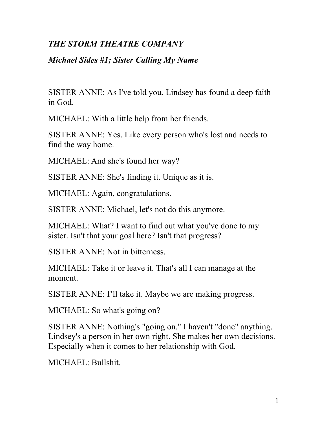## *THE STORM THEATRE COMPANY*

## *Michael Sides #1; Sister Calling My Name*

SISTER ANNE: As I've told you, Lindsey has found a deep faith in God.

MICHAEL: With a little help from her friends.

SISTER ANNE: Yes. Like every person who's lost and needs to find the way home.

MICHAEL: And she's found her way?

SISTER ANNE: She's finding it. Unique as it is.

MICHAEL: Again, congratulations.

SISTER ANNE: Michael, let's not do this anymore.

MICHAEL: What? I want to find out what you've done to my sister. Isn't that your goal here? Isn't that progress?

SISTER ANNE: Not in bitterness.

MICHAEL: Take it or leave it. That's all I can manage at the moment.

SISTER ANNE: I'll take it. Maybe we are making progress.

MICHAEL: So what's going on?

SISTER ANNE: Nothing's "going on." I haven't "done" anything. Lindsey's a person in her own right. She makes her own decisions. Especially when it comes to her relationship with God.

MICHAEL: Bullshit.